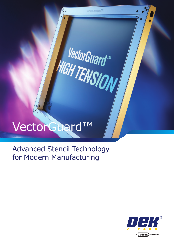Advanced Stencil Technology for Modern Manufacturing

sa any raona <sup>ny</sup>

**VectorGuardTM** 

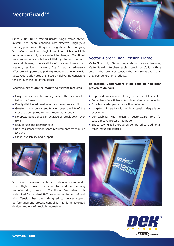Since 2004, DEK's VectorGuard™ single-frame stencil system has been enabling cost-effective, high-yield printing processes. Unique among stencil technologies, VectorGuard employs a single frame into which stencil foils for various assembly runs can be interchanged. Traditional mesh mounted stencils have initial high tension but with use and cleaning, the elasticity of the stencil mesh can weaken, resulting in areas of "sag" that can adversely affect stencil aperture to pad alignment and printing yields. VectorGuard alleviates this issue by delivering consistent tension over the life of the stencil.

#### **VectorGuard ™ stencil mounting system features:**

- Unique mechanical tensioning system that secures the foil in the frame
- Evenly distributed tension across the entire stencil
- Greater, more consistent tension over the life of the stencil as compared to mesh mounted stencils
- No epoxy bonds that can degrade or break down over time
- Easy to use and operator safe
- Reduces stencil storage space requirements by as much as 75%
- Global availability and support





VectorGuard is available in both a traditional version and a new High Tension version to address varying manufacturing needs. Traditional VectorGuard is well-suited for standard SMT processes, while VectorGuard High Tension has been designed to deliver superb performance and process control for highly miniaturized devices and ultra-fine-pitch geometries.



### VectorGuard™ High Tension Frame

VectorGuard High Tension expands on the award-winning VectorGuard interchangeable stencil portfolio with a system that provides tension that is 45% greater than previous-generation products.

#### **In testing, VectorGuard High Tension has been proven to deliver:**

- Improved process control for greater end-of-line yield
- Better transfer efficiency for miniaturized components
- Excellent solder paste deposition definition
- Long-term integrity with minimal tension degradation over time
- **Compatibility with existing VectorGuard foils for** cost-effective process integration
- Space-saving foil storage as compared to traditional, mesh mounted stencils



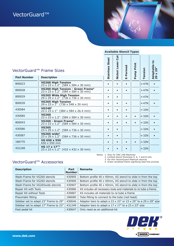

|  | <b>Available Stencil Types</b> |  |
|--|--------------------------------|--|
|--|--------------------------------|--|

| <b>Part Number</b> | VectorGuard™ Frame Sizes                                                                                    | <b>Steel</b><br><b>Stainless</b> | ä<br>ser<br>ë,<br>Nickel | E-Formed | Print<br>Pump | Tension       | $\mathbf{c}$<br>Adaptable<br>29 x 29" |
|--------------------|-------------------------------------------------------------------------------------------------------------|----------------------------------|--------------------------|----------|---------------|---------------|---------------------------------------|
|                    | <b>Description</b>                                                                                          |                                  |                          |          |               |               |                                       |
| 800023             | <b>VG260 High Tension</b><br>$23 \times 23 \times \overline{1}$ .2" (584 x 584 x 30 mm)                     | ٠                                |                          |          |               | $\approx 47N$ |                                       |
| 800028             | VG260 High Tension - Green Frame <sup>4</sup><br>$23 \times 23 \times \overline{1}$ .2" (584 x 584 x 30 mm) | Ċ                                |                          |          |               | $\approx 47N$ |                                       |
| 800029             | <b>VG265 Wide High Tension</b><br>29 x 29 x 1.2" (736 x 736 x 30 mm)                                        |                                  |                          |          |               | $\approx 47N$ |                                       |
| 800039             | <b>VG265 High Tension</b><br>$29 \times 23 \times \overline{1}$ " (736 x 548 x 30 mm)                       | ٠                                |                          |          |               | $\approx 47N$ |                                       |
| 430584             | VG248 <sup>1</sup><br>23 x 23 x 1" (584 x 584 x 26.4 mm)                                                    | ٠                                |                          |          |               | $\approx$ 32N |                                       |
| 430585             | <b>VG260</b><br>23 x 23 x 1.2" (584 x 584 x 30 mm)                                                          | $\bullet$                        |                          |          |               | $\approx$ 32N |                                       |
| 800043             | VG260 - Green Frame <sup>4</sup><br>23 x 23 x 1.2" (584 x 584 x 30 mm)                                      | $\bullet$                        |                          |          |               | $\approx$ 32N |                                       |
| 430586             | <b>VG265</b><br>23 x 29 x 1.2" (584 x 736 x 30 mm)                                                          | $\bullet$                        |                          |          |               | $\approx$ 32N |                                       |
| 430587             | VG265 wide $2$<br>23 x 29 x 1.2" (584 x 736 x 30 mm)                                                        | $\bullet$                        | $\bullet$                |          |               | $\approx$ 32N |                                       |
| 186770             | VG 650 x 550<br>650 x 550 mm                                                                                | $\bullet$                        |                          |          | $\bullet$     | $\approx$ 32N |                                       |
| 431248             | VG 17 x 17"3<br>$23 \times 23 \times 1.2$ " (432 x 432 x 30 mm)                                             |                                  |                          |          |               | $\approx$ 32N |                                       |

Notes: 1. Only for DEK 248 Machines

2. Limited stencil thickness 5, 6, 7 and 8 mils

3. For thin VectorGuard Platinum stencils

4. Green anodized frame signifying lead free process

## VectorGuard™ Accessories

| <b>Description</b>                    | Part<br><b>Number</b> | <b>Remarks</b>                                                    |
|---------------------------------------|-----------------------|-------------------------------------------------------------------|
| Wash-Frame for VG260 stencils         | 430905                | Bottom profile 40 x 40mm, VG stencil to slide in from the top     |
| Wash-Frame for VG265 stencils         | 430906                | Bottom profile 40 x 40mm, VG stencil to slide in from the top     |
| Wash-Frame for VG265wide stencils     | 430907                | Bottom profile 40 x 40mm, VG stencil to slide in from the top     |
| Repair Kit with Tools                 | 430886                | Kit includes all necessary tools and materials to re-tube a frame |
| Repair Kit without Tools              | 430887                | Kit includes all materials to re-tube a frame                     |
| Pneumatic fitting                     | 186680                | Tube fitting to connect to the tube (red head)                    |
| Sidebar set to adapt 23" Frame to 29" | 430646                | Adaptor bars to adapt a 23 x 23" or 23 x 29" to a 29 x 29" size   |
| Sidebar set to adapt 17" Frame to 23" | 431249                | Adaptor bars to adapt a $17 \times 17''$ to a 23 x 23" size       |
| Foot pedal kit                        | 430647                | Only need as an additional kit                                    |